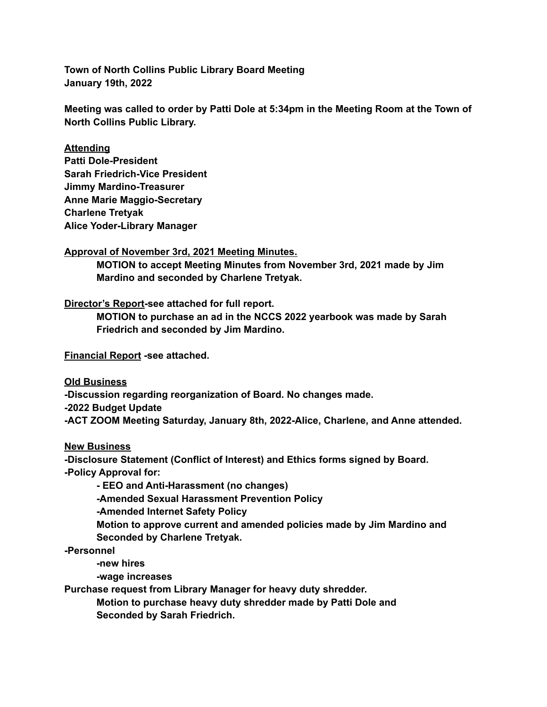**Town of North Collins Public Library Board Meeting January 19th, 2022**

**Meeting was called to order by Patti Dole at 5:34pm in the Meeting Room at the Town of North Collins Public Library.**

### **Attending**

**Patti Dole-President Sarah Friedrich-Vice President Jimmy Mardino-Treasurer Anne Marie Maggio-Secretary Charlene Tretyak Alice Yoder-Library Manager**

#### **Approval of November 3rd, 2021 Meeting Minutes.**

**MOTION to accept Meeting Minutes from November 3rd, 2021 made by Jim Mardino and seconded by Charlene Tretyak.**

# **Director's Report-see attached for full report.**

**MOTION to purchase an ad in the NCCS 2022 yearbook was made by Sarah Friedrich and seconded by Jim Mardino.**

**Financial Report -see attached.**

**Old Business**

**-Discussion regarding reorganization of Board. No changes made. -2022 Budget Update -ACT ZOOM Meeting Saturday, January 8th, 2022-Alice, Charlene, and Anne attended.**

# **New Business**

**-Disclosure Statement (Conflict of Interest) and Ethics forms signed by Board. -Policy Approval for:**

**- EEO and Anti-Harassment (no changes)**

**-Amended Sexual Harassment Prevention Policy**

**-Amended Internet Safety Policy**

**Motion to approve current and amended policies made by Jim Mardino and Seconded by Charlene Tretyak.**

**-Personnel**

**-new hires**

**-wage increases**

**Purchase request from Library Manager for heavy duty shredder.**

**Motion to purchase heavy duty shredder made by Patti Dole and Seconded by Sarah Friedrich.**